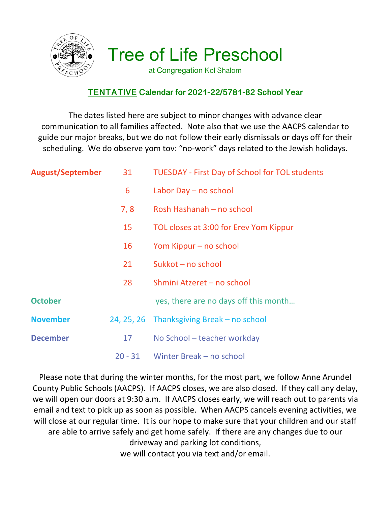

Tree of Life Preschool

at Congregation Kol Shalom

## **TENTATIVE Calendar for 2021-22/5781-82 School Year**

The dates listed here are subject to minor changes with advance clear communication to all families affected. Note also that we use the AACPS calendar to guide our major breaks, but we do not follow their early dismissals or days off for their scheduling. We do observe yom tov: "no-work" days related to the Jewish holidays.

| <b>August/September</b> | 31        | <b>TUESDAY - First Day of School for TOL students</b> |
|-------------------------|-----------|-------------------------------------------------------|
|                         | 6         | Labor Day - no school                                 |
|                         | 7, 8      | Rosh Hashanah – no school                             |
|                         | 15        | TOL closes at 3:00 for Erev Yom Kippur                |
|                         | 16        | Yom Kippur – no school                                |
|                         | 21        | Sukkot - no school                                    |
|                         | 28        | Shmini Atzeret - no school                            |
| <b>October</b>          |           | yes, there are no days off this month                 |
| <b>November</b>         |           | 24, 25, 26 Thanksgiving Break – no school             |
| <b>December</b>         | 17        | No School - teacher workday                           |
|                         | $20 - 31$ | Winter Break - no school                              |

Please note that during the winter months, for the most part, we follow Anne Arundel County Public Schools (AACPS). If AACPS closes, we are also closed. If they call any delay, we will open our doors at 9:30 a.m. If AACPS closes early, we will reach out to parents via email and text to pick up as soon as possible. When AACPS cancels evening activities, we will close at our regular time. It is our hope to make sure that your children and our staff are able to arrive safely and get home safely. If there are any changes due to our driveway and parking lot conditions, we will contact you via text and/or email.